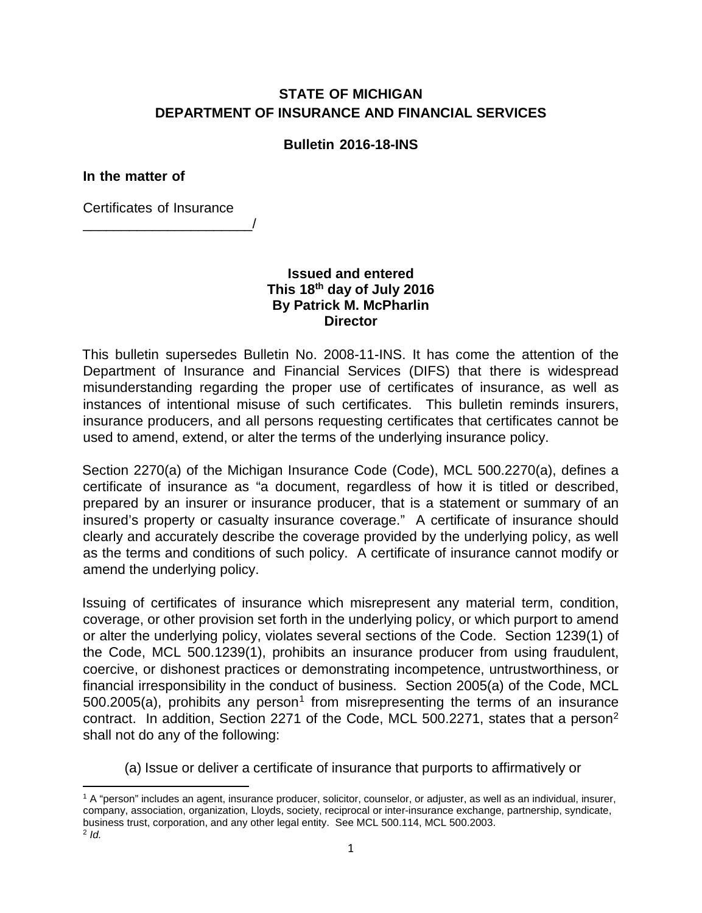## **STATE OF MICHIGAN DEPARTMENT OF INSURANCE AND FINANCIAL SERVICES**

## **Bulletin 2016-18-INS**

**In the matter of**

Certificates of Insurance

\_\_\_\_\_\_\_\_\_\_\_\_\_\_\_\_\_\_\_\_\_\_/

**Issued and entered This 18th day of July 2016 By Patrick M. McPharlin Director**

This bulletin supersedes Bulletin No. 2008-11-INS. It has come the attention of the Department of Insurance and Financial Services (DIFS) that there is widespread misunderstanding regarding the proper use of certificates of insurance, as well as instances of intentional misuse of such certificates. This bulletin reminds insurers, insurance producers, and all persons requesting certificates that certificates cannot be used to amend, extend, or alter the terms of the underlying insurance policy.

Section 2270(a) of the Michigan Insurance Code (Code), MCL 500.2270(a), defines a certificate of insurance as "a document, regardless of how it is titled or described, prepared by an insurer or insurance producer, that is a statement or summary of an insured's property or casualty insurance coverage." A certificate of insurance should clearly and accurately describe the coverage provided by the underlying policy, as well as the terms and conditions of such policy. A certificate of insurance cannot modify or amend the underlying policy.

Issuing of certificates of insurance which misrepresent any material term, condition, coverage, or other provision set forth in the underlying policy, or which purport to amend or alter the underlying policy, violates several sections of the Code. Section 1239(1) of the Code, MCL 500.1239(1), prohibits an insurance producer from using fraudulent, coercive, or dishonest practices or demonstrating incompetence, untrustworthiness, or financial irresponsibility in the conduct of business. Section 2005(a) of the Code, MCL  $500.2005(a)$ , prohibits any person<sup>[1](#page-0-0)</sup> from misrepresenting the terms of an insurance contract. In addition, Section [2](#page-0-1)271 of the Code, MCL 500.2271, states that a person<sup>2</sup> shall not do any of the following:

(a) Issue or deliver a certificate of insurance that purports to affirmatively or

<span id="page-0-1"></span><span id="page-0-0"></span>**<sup>.</sup>** <sup>1</sup> A "person" includes an agent, insurance producer, solicitor, counselor, or adjuster, as well as an individual, insurer, company, association, organization, Lloyds, society, reciprocal or inter-insurance exchange, partnership, syndicate, business trust, corporation, and any other legal entity. See MCL 500.114, MCL 500.2003. <sup>2</sup> *Id.*